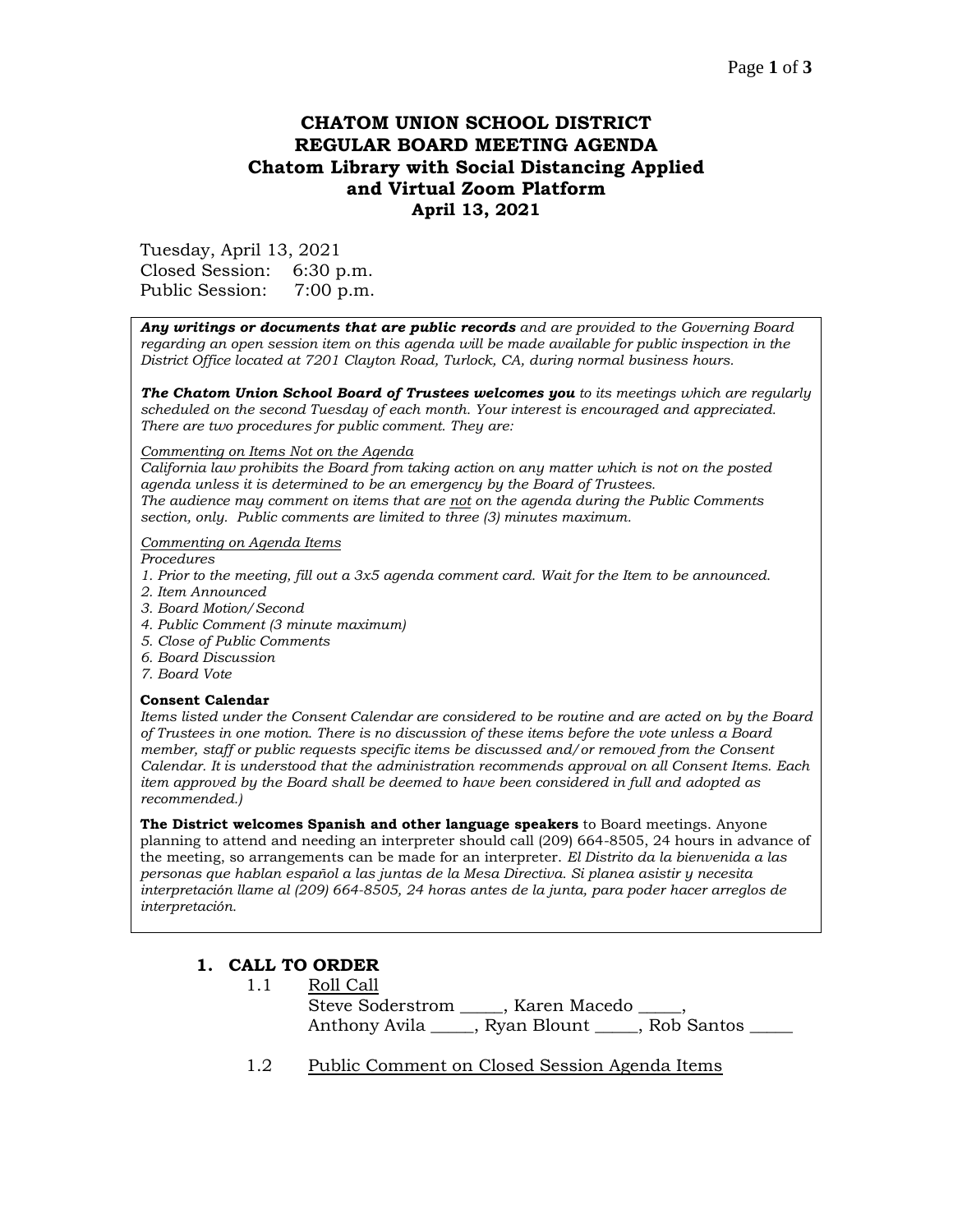## Page **1** of **3**

# **CHATOM UNION SCHOOL DISTRICT REGULAR BOARD MEETING AGENDA Chatom Library with Social Distancing Applied and Virtual Zoom Platform April 13, 2021**

Tuesday, April 13, 2021 Closed Session: 6:30 p.m. Public Session: 7:00 p.m.

*Any writings or documents that are public records and are provided to the Governing Board regarding an open session item on this agenda will be made available for public inspection in the District Office located at 7201 Clayton Road, Turlock, CA, during normal business hours.*

*The Chatom Union School Board of Trustees welcomes you to its meetings which are regularly scheduled on the second Tuesday of each month. Your interest is encouraged and appreciated. There are two procedures for public comment. They are:*

#### *Commenting on Items Not on the Agenda*

*California law prohibits the Board from taking action on any matter which is not on the posted agenda unless it is determined to be an emergency by the Board of Trustees. The audience may comment on items that are not on the agenda during the Public Comments section, only. Public comments are limited to three (3) minutes maximum.*

#### *Commenting on Agenda Items*

*Procedures* 

- *1. Prior to the meeting, fill out a 3x5 agenda comment card. Wait for the Item to be announced.*
- *2. Item Announced*
- *3. Board Motion/Second*
- *4. Public Comment (3 minute maximum)*
- *5. Close of Public Comments*
- *6. Board Discussion*
- *7. Board Vote*

#### **Consent Calendar**

*Items listed under the Consent Calendar are considered to be routine and are acted on by the Board of Trustees in one motion. There is no discussion of these items before the vote unless a Board member, staff or public requests specific items be discussed and/or removed from the Consent Calendar. It is understood that the administration recommends approval on all Consent Items. Each item approved by the Board shall be deemed to have been considered in full and adopted as recommended.)*

**The District welcomes Spanish and other language speakers** to Board meetings. Anyone planning to attend and needing an interpreter should call (209) 664-8505, 24 hours in advance of the meeting, so arrangements can be made for an interpreter. *El Distrito da la bienvenida a las personas que hablan español a las juntas de la Mesa Directiva. Si planea asistir y necesita interpretación llame al (209) 664-8505, 24 horas antes de la junta, para poder hacer arreglos de interpretación.*

## **1. CALL TO ORDER**

- 1.1 Roll Call Steve Soderstrom \_\_\_\_\_, Karen Macedo \_\_\_\_\_, Anthony Avila \_\_\_\_\_, Ryan Blount \_\_\_\_\_, Rob Santos \_\_\_\_\_
- 1.2 Public Comment on Closed Session Agenda Items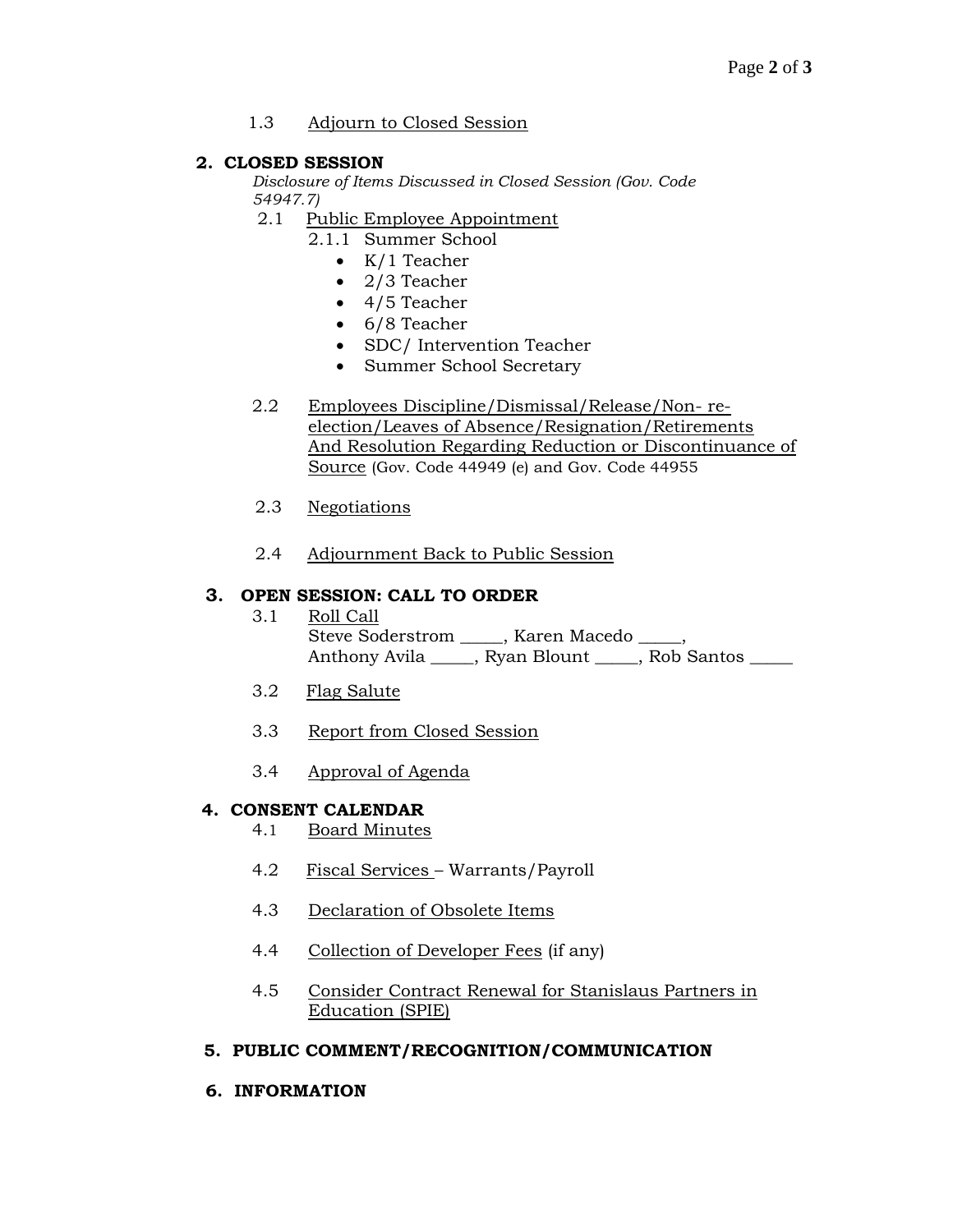## 1.3 Adjourn to Closed Session

## **2. CLOSED SESSION**

*Disclosure of Items Discussed in Closed Session (Gov. Code 54947.7)*

- 2.1 Public Employee Appointment
	- 2.1.1 Summer School
		- K/1 Teacher
		- 2/3 Teacher
		- 4/5 Teacher
		- 6/8 Teacher
		- SDC/ Intervention Teacher
		- Summer School Secretary
- 2.2 Employees Discipline/Dismissal/Release/Non- reelection/Leaves of Absence/Resignation/Retirements And Resolution Regarding Reduction or Discontinuance of Source (Gov. Code 44949 (e) and Gov. Code 44955
- 2.3 Negotiations
- 2.4 Adjournment Back to Public Session

## **3. OPEN SESSION: CALL TO ORDER**

- 3.1 Roll Call Steve Soderstrom \_\_\_\_\_, Karen Macedo \_\_\_\_, Anthony Avila \_\_\_\_\_, Ryan Blount \_\_\_\_, Rob Santos \_\_\_\_
- 3.2 Flag Salute
- 3.3 Report from Closed Session
- 3.4 Approval of Agenda

## **4. CONSENT CALENDAR**

- 4.1 Board Minutes
- 4.2 Fiscal Services Warrants/Payroll
- 4.3 Declaration of Obsolete Items
- 4.4 Collection of Developer Fees (if any)
- 4.5 Consider Contract Renewal for Stanislaus Partners in Education (SPIE)

## **5. PUBLIC COMMENT/RECOGNITION/COMMUNICATION**

**6. INFORMATION**